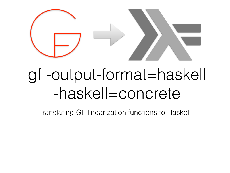

#### gf -output-format=haskell -haskell=concrete

Translating GF linearization functions to Haskell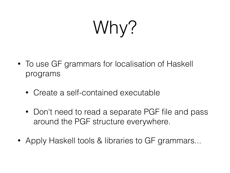Why?

- To use GF grammars for localisation of Haskell programs
	- Create a self-contained executable
	- Don't need to read a separate PGF file and pass around the PGF structure everywhere.
- Apply Haskell tools & libraries to GF grammars...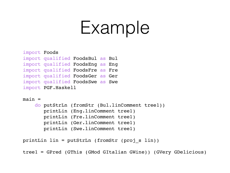### Example

```
import Foods
import qualified FoodsBul as Bul
import qualified FoodsEng as Eng
import qualified FoodsFre as Fre
import qualified FoodsGer as Ger
import qualified FoodsSwe as Swe
import PGF.Haskell
```
 $main =$ 

```
 do putStrLn (fromStr (Bul.linComment tree1))
    printLin (Eng.linComment tree1)
    printLin (Fre.linComment tree1)
    printLin (Ger.linComment tree1)
    printLin (Swe.linComment tree1)
```

```
printLin lin = putStrLn (fromStr (proj_s lin))
```
tree1 = GPred (GThis (GMod GItalian GWine)) (GVery GDelicious)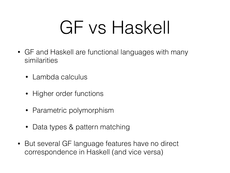# GF vs Haskell

- GF and Haskell are functional languages with many similarities
	- Lambda calculus
	- Higher order functions
	- Parametric polymorphism
	- Data types & pattern matching
- But several GF language features have no direct correspondence in Haskell (and vice versa)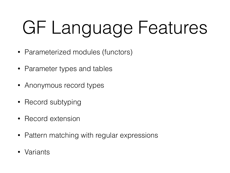# GF Language Features

- Parameterized modules (functors)
- Parameter types and tables
- Anonymous record types
- Record subtyping
- Record extension
- Pattern matching with regular expressions
- Variants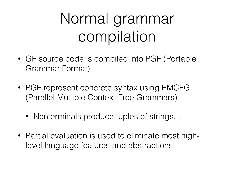#### Normal grammar compilation

- GF source code is compiled into PGF (Portable Grammar Format)
- PGF represent concrete syntax using PMCFG (Parallel Multiple Context-Free Grammars)
	- Nonterminals produce tuples of strings...
- Partial evaluation is used to eliminate most highlevel language features and abstractions.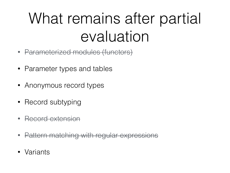#### What remains after partial evaluation

- Parameterized modules (functors)
- Parameter types and tables
- Anonymous record types
- Record subtyping
- Record extension
- Pattern matching with regular expressions
- Variants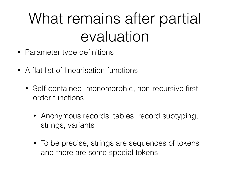#### What remains after partial evaluation

- Parameter type definitions
- A flat list of linearisation functions:
	- Self-contained, monomorphic, non-recursive firstorder functions
		- Anonymous records, tables, record subtyping, strings, variants
		- To be precise, strings are sequences of tokens and there are some special tokens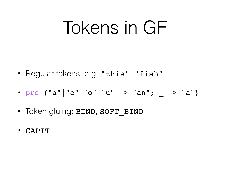# Tokens in GF

- Regular tokens, e.g. "this", "fish"
- pre {"a"|"e"|"o"|"u" => "an"; \_ => "a"}
- Token gluing: BIND, SOFT\_BIND
- CAPIT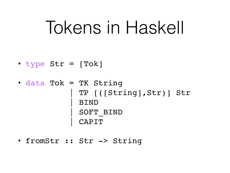### Tokens in Haskell

- type Str = [Tok]
- data Tok = TK String | TP [([String],Str)] Str | BIND | SOFT\_BIND | CAPIT
- fromStr :: Str -> String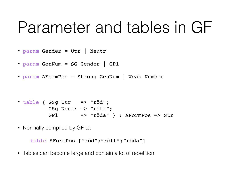#### Parameter and tables in GF

- param Gender = Utr | Neutr
- param GenNum = SG Gender | GPl
- param AFormPos = Strong GenNum | Weak Number

- table { GSg Utr => "röd"; GSg Neutr => "rött"; GPl => "röda" } : AFormPos => Str
- Normally compiled by GF to:

```
 table AFormPos ["röd";"rött";"röda"]
```
• Tables can become large and contain a lot of repetition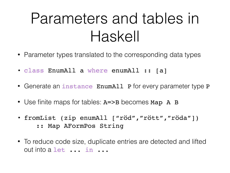#### Parameters and tables in Haskell

- Parameter types translated to the corresponding data types
- class EnumAll a where enumAll :: [a]
- Generate an instance EnumAll P for every parameter type P
- Use finite maps for tables: A=>B becomes Map A B
- fromList (zip enumAll ["röd","rött","röda"])
	- :: Map AFormPos String
- To reduce code size, duplicate entries are detected and lifted out into a let ... in ...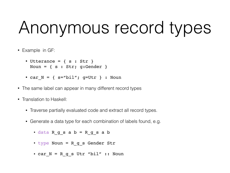# Anonymous record types

- Example in GF:
	- Utterance =  $\{ s : Str \}$ Noun = { s : Str; g:Gender }
	- car  $N = {$  s="bil"; g=Utr } : Noun
- The same label can appear in many different record types
- Translation to Haskell:
	- Traverse partially evaluated code and extract all record types.
	- Generate a data type for each combination of labels found, e.g.
		- data R\_g\_s a b = R\_g\_s a b
		- type Noun = R\_g\_s Gender Str
		- car  $N = R$  g s Utr "bil" :: Noun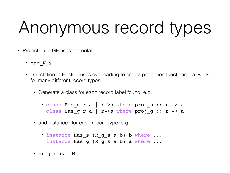# Anonymous record types

- Projection in GF uses dot notation
	- car\_N.s
	- Translation to Haskell uses overloading to create projection functions that work for many different record types:
		- Generate a class for each record label found, e.g.
			- class Has s r a | r->a where proj\_s :: r -> a class Has g r a | r->a where proj g :: r -> a
		- and instances for each record type, e.g.
			- instance Has\_s (R\_g\_s a b) b where ... instance Has g (R g s a b) a where ...
		- proj\_s car\_N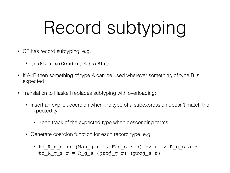# Record subtyping

- GF has record subtyping, e.g.
	- {s:Str; g:Gender} ≤ {s:Str}
- If A 
section at the above the Something of type A can be used wherever something of type B is expected
- Translation to Haskell replaces subtyping with overloading:
	- Insert an explicit coercion when the type of a subexpression doesn't match the expected type
		- Keep track of the expected type when descending terms
	- Generate coercion function for each record type, e.g.

• to  $R_g$ s :: (Has  $g$  r a, Has  $s$  r b) => r ->  $R_g$  s a b to R g s  $r = R$  g s (proj g r) (proj s r)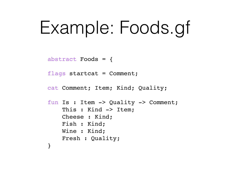# Example: Foods.gf

abstract Foods = {

flags startcat =  $Comment;$ 

```
cat Comment; Item; Kind; Quality;
```

```
fun Is : Item -> Quality -> Comment;
    This : Kind -> Item;
     Cheese : Kind;
     Fish : Kind;
     Wine : Kind;
     Fresh : Quality;
```
}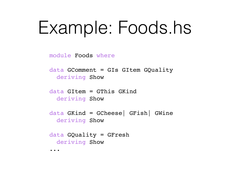# Example: Foods.hs

module Foods where

data GComment = GIs GItem GQuality deriving Show

data GItem = GThis GKind deriving Show

data GKind = GCheese| GFish| GWine deriving Show

data GQuality = GFresh deriving Show

...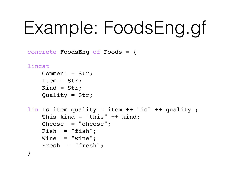# Example: FoodsEng.gf

concrete FoodsEng of Foods = {

```
lincat
     Comment = Str;
     Item = Str;
    Kind = Str; Quality = Str;
lin Is item quality = item ++ "is" ++ quality ;
    This kind = "this" ++ kind;
     Cheese = "cheese";
     Fish = "fish";
    Wine = "wire"; Fresh = "fresh";
}
```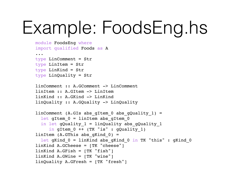# Example: FoodsEng.hs

```
module FoodsEng where
import qualified Foods as A
...
type LinComment = Str
type LinItem = Str
type LinKind = Str
type LinQuality = Str
linComment :: A.GComment -> LinComment
linItem :: A.GItem -> LinItem
linKind :: A.GKind -> LinKind
linQuality :: A.GQuality -> LinQuality
linComment (A.GIs abs gItem 0 abs gQuality 1) =
  let gItem 0 = linItem abs gItem 0in let gQuality 1 = linQuality abs gQuality 1in gItem 0 ++ (TK "is" : gQuality 1)
linItem (A.GThis abs gKind 0) =
  let gKind 0 = linKind abs gKind 0 in TK "this" : gKind 0linKind A.GCheese = [TK "cheese"]
linkind A.GFish = |TK "fish"]
linkind A.GWine = \lfloor TK "wine"]
linQuality A.GFresh = [TK "fresh"]
```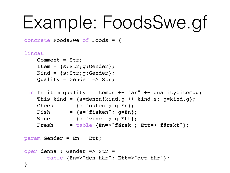# Example: FoodsSwe.gf

concrete FoodsSwe of Foods = {

```
lincat
```

```
 Comment = Str;
 Item = {s:Str;g:Gender};
 Kind = {s:Str;g:Gender};
Quality = Gender => Str;
```

```
lin Is item quality = item.s ++ "är" ++ quality!item.g;
    This kind = {s=denna!kind.g ++ kind.s; g=kind.g};
   Cheese = {s="math>constant"; g=En};
   Fish = {s="i> fisken"; g=En};Wine = {s="vinet"; g=Ett}; Fresh = table {En=>"färsk"; Ett=>"färskt"};
```
param Gender = En | Ett;

```
oper denna : Gender => Str =
        table {En=>"den här"; Ett=>"det här"};
}
```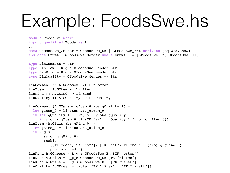### Example: FoodsSwe.hs

```
module FoodsSwe where
import qualified Foods as A
...
data GFoodsSwe Gender = GFoodsSwe En | GFoodsSwe Ett deriving (Eq,Ord,Show)
instance EnumAll GFoodsSwe Gender where enumAll = [GFoodsSwe En, GFoodsSwe Ett]type LinComment = Str
type LinItem = R q s GFoodsSwe Gender Str
type LinKind = R q s GFoodsSwe Gender Str
type LinQuality = GFoodsSwe_Gender -> Str
linComment :: A.GComment -> LinComment
linItem :: A.GItem -> LinItem
linKind :: A.GKind -> LinKind
linQuality :: A.GQuality -> LinQuality
linComment (A.GIs abs qItem 0 abs qQuality 1) =
 let gItem 0 = linItem abs gItem 0in let qQuality 1 = linQuality abs qQuality 1
    in proj s gItem 0 ++ (TK "är" : gQuality 1 (proj g gItem 0))
linItem (A.GThis abs qKind 0) =
  let gKind 0 = linKind abs gKind 0 in R_g_s
        (proj_g gKind_0)
        (table
           [[TK "den", TK "här"], [TK "det", TK "här"]] (proj_g gKind_0) ++
           proj_s gKind_0)
linKind A.GCheese = R q s GFoodsSwe En TK "osten"]
linKind A.GFish = R q s GFoodsSwe En TK "fisken"]
linkind A.GWine = R g s GFoodsSwe Ett [TK "vinet"]
linQuality A.GFresh = table [[TK "färsk"], [TK "färskt"]]
```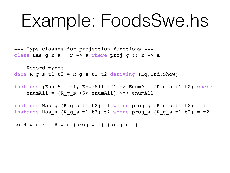### Example: FoodsSwe.hs

--- Type classes for projection functions -- class Has g r a  $|$  r  $\rightarrow$  a where proj g :: r  $\rightarrow$  a

--- Record types -- data R g s t1 t2 = R g s t1 t2 deriving (Eq, Ord, Show)

instance (EnumAll t1, EnumAll t2) => EnumAll (R g s t1 t2) where enumAll =  $(R g s < $>$  enumAll)  $\lt \gt >$  enumAll

instance Has  $g$  (R  $g$  s t1 t2) t1 where proj  $g$  (R  $g$  s t1 t2) = t1 instance Has s (R g s t1 t2) t2 where proj s (R g s t1 t2) = t2

to R g s  $r = R$  g s (proj g r) (proj s r)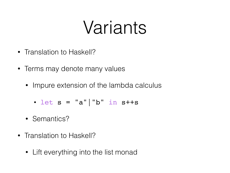### Variants

- Translation to Haskell?
- Terms may denote many values
	- Impure extension of the lambda calculus
		- let  $s = "a" | "b" in  $s++s$$
	- Semantics?
- Translation to Haskell?
	- Lift everything into the list monad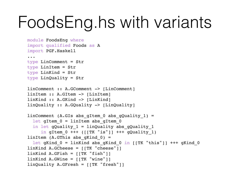### FoodsEng.hs with variants

```
module FoodsEng where
import qualified Foods as A
import PGF.Haskell
...
type LinComment = Str
type LinItem = Str
type LinKind = Str
type LinQuality = Str
linComment :: A.GComment -> [LinComment]
linItem :: A.GItem -> [LinItem]
linKind :: A.GKind -> [LinKind]
linQuality :: A.GQuality -> [LinQuality]
linComment (A.GIs abs gItem 0 abs gQuality 1) =
  let gItem 0 = linItem abs gItem 0in let gQuality 1 = linQuality abs gQuality 1
     in gItem 0 +++ ([[TK "is"]] +++ gQuality 1)
linItem (A.GThis abs qKind 0) =
  let gKind 0 = linKind abs gKind 0 in [[TK "this"]] +++ gKind 0
linkind A.GCheese = [[TK "cheese"]]
linkind A.GFish = | [TK "fish"]linkind A.GWine = [[TK "wine"]]
linQuality A.GFresh = [[TK "fresh"]]
```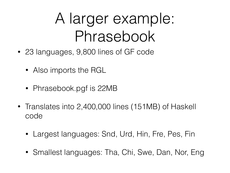#### A larger example: Phrasebook

- 23 languages, 9,800 lines of GF code
	- Also imports the RGL
	- Phrasebook.pgf is 22MB
- Translates into 2,400,000 lines (151MB) of Haskell code
	- Largest languages: Snd, Urd, Hin, Fre, Pes, Fin
	- Smallest languages: Tha, Chi, Swe, Dan, Nor, Eng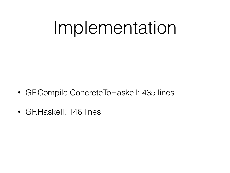### Implementation

- GF.Compile.ConcreteToHaskell: 435 lines
- GF. Haskell: 146 lines